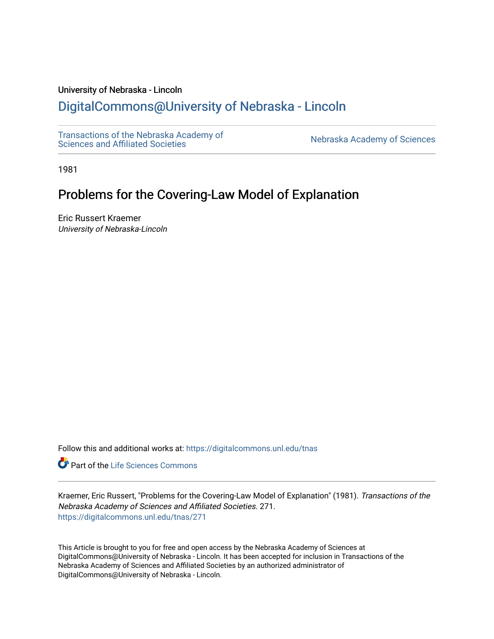# University of Nebraska - Lincoln

# [DigitalCommons@University of Nebraska - Lincoln](https://digitalcommons.unl.edu/)

[Transactions of the Nebraska Academy of](https://digitalcommons.unl.edu/tnas)  Transactions of the Nebraska Academy of Sciences<br>Sciences and Affiliated Societies

1981

# Problems for the Covering-Law Model of Explanation

Eric Russert Kraemer University of Nebraska-Lincoln

Follow this and additional works at: [https://digitalcommons.unl.edu/tnas](https://digitalcommons.unl.edu/tnas?utm_source=digitalcommons.unl.edu%2Ftnas%2F271&utm_medium=PDF&utm_campaign=PDFCoverPages) 

**Part of the Life Sciences Commons** 

Kraemer, Eric Russert, "Problems for the Covering-Law Model of Explanation" (1981). Transactions of the Nebraska Academy of Sciences and Affiliated Societies. 271. [https://digitalcommons.unl.edu/tnas/271](https://digitalcommons.unl.edu/tnas/271?utm_source=digitalcommons.unl.edu%2Ftnas%2F271&utm_medium=PDF&utm_campaign=PDFCoverPages) 

This Article is brought to you for free and open access by the Nebraska Academy of Sciences at DigitalCommons@University of Nebraska - Lincoln. It has been accepted for inclusion in Transactions of the Nebraska Academy of Sciences and Affiliated Societies by an authorized administrator of DigitalCommons@University of Nebraska - Lincoln.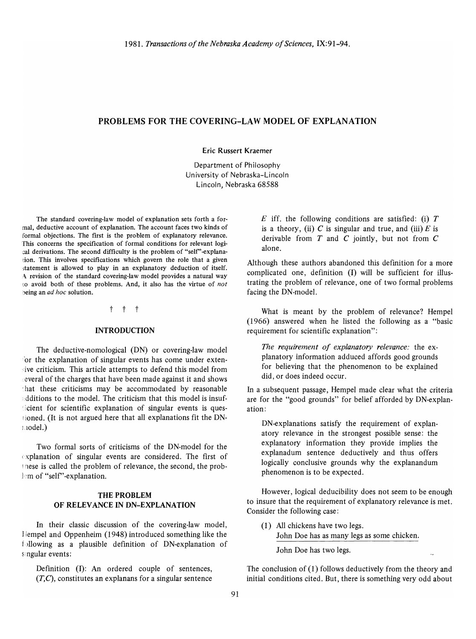# PROBLEMS FOR THE COVERING-LAW MODEL OF EXPLANATION

Eric Russert Kraemer

Department of Philosophy University of Nebraska-Lincoln Lincoln, Nebraska 68588

The standard covering-law model of explanation sets forth a formal, deductive account of explanation. The account faces two kinds of formal objections. The first is the problem of explanatory relevance. This concerns the specification of formal conditions for relevant logical derivations. The second difficulty is the problem of "self" -explanation. This involves specifications which govern the role that a given statement is allowed to play in an explanatory deduction of itself. A revision of the standard covering-law model provides a natural way to avoid both of these problems. And, it also has the virtue of *not*  being an *ad hoc* solution.

t t t

#### INTRODUCTION

The deductive-nomological (DN) or covering-law model for the explanation of singular events has come under extensive criticism. This article attempts to defend this model from ·everal of the charges that have been made against it and shows 'hat these criticisms may be accommodated by reasonable additions to the model. The criticism that this model is insuficient for scientific explanation of singular events is questioned. (It is not argued here that all explanations fit the DN-Llodel.)

Two formal sorts of criticisms of the DN-model for the  $\epsilon$ xplanation of singular events are considered. The first of 1 hese is called the problem of relevance, the second, the problem of "self"-explanation.

### THE PROBLEM OF RELEVANCE IN DN-EXPLANATION

In their classic discussion of the covering-law model, llempel and Oppenheim (1948) introduced something like the f·jllowing as a plausible definition of DN-explanation of singular events:

Definition (I): An ordered couple of sentences,  $(T, C)$ , constitutes an explanans for a singular sentence *E* iff. the following conditions are satisfied: (i) *T*  is a theory, (ii)  $C$  is singular and true, and (iii)  $E$  is derivable from  $T$  and  $C$  jointly, but not from  $C$ alone.

Although these authors abandoned this definition for a more complicated one, definition (I) will be sufficient for illustrating the problem of relevance, one of two formal problems facing the DN-model.

What is meant by the problem of relevance? Hempel (1966) answered when he listed the following as a "basic requirement for scientific explanation":

*The requirement of explanatory relevance:* the explanatory information adduced affords good grounds for believing that the phenomenon to be explained did, or does indeed occur.

In a subsequent passage, Hempel made clear what the criteria are for the "good grounds" for belief afforded by DN-explanation:

DN-explanations satisfy the requirement of explanatory relevance in the strongest possible sense: the explanatory information they provide implies the explanadum sentence deductively and thus offers logically conclusive grounds why the explanandum phenomenon is to be expected.

However, logical deducibility does not seem to be enough to insure that the requirement of explanatory relevance is met. Consider the following case:

- (1) All chickens have two legs.
	- John Doe has as many legs as some chicken.

John Doe has two legs.

The conclusion of (1) follows deductively from the theory and initial conditions cited. But, there is something very odd about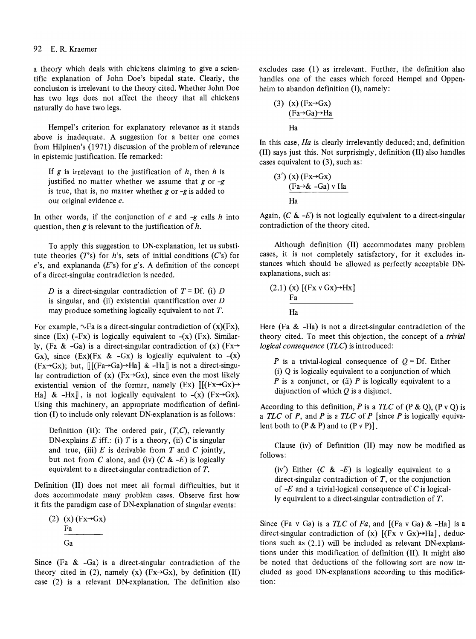#### 92 E. R. Kraemer

a theory which deals with chickens claiming to give a scientific explanation of John Doe's bipedal state. Clearly, the conclusion is irrelevant to the theory cited. Whether John Doe has two legs does not affect the theory that all chickens naturally do have two legs.

Hempel's criterion for explanatory relevance as it stands above is inadequate. A suggestion for a better one comes from Hilpinen's (1971) discussion of the problem of relevance in epistemic justification. He remarked:

If  $g$  is irrelevant to the justification of  $h$ , then  $h$  is justified no matter whether we assume that  $g$  or  $-g$ is true, that is, no matter whether  $g$  or  $-g$  is added to our original evidence *e.* 

In other words, if the conjunction of e and  $-g$  calls h into question, then  $g$  is relevant to the justification of  $h$ .

To apply this suggestion to DN·explanation, let us substi· tute theories  $(T<sup>s</sup>)$  for *h*'s, sets of initial conditions  $(C<sup>s</sup>)$  for *e's,* and explananda *(E's)* for *g's.* A definition of the concept of a direct-singular contradiction is needed.

D is a direct-singular contradiction of  $T = \text{Df}$ . (i) D is singular, and (ii) existential quantification over  $D$ may produce something logically equivalent to not T.

For example,  $\sim$ Fa is a direct-singular contradiction of  $(x)(Fx)$ , since (Ex)  $(-Fx)$  is logically equivalent to  $-(x)$  (Fx). Similarly, (Fa & -Ga) is a direct-singular contradiction of (x) (Fx $\rightarrow$ Gx), since  $(Ex)(Fx & -Gx)$  is logically equivalent to  $-(x)$  $(Fx \rightarrow Gx)$ ; but,  $[[[Fa \rightarrow Ga] \rightarrow Ha] & \& -Ha$  is not a direct-singular contradiction of (x) ( $Fx\rightarrow Gx$ ), since even the most likely existential version of the former, namely (Ex)  $[[(Fx\rightarrow Gx)\rightarrow$ Ha] & -Hx], is not logically equivalent to  $-(x)$  (Fx $\rightarrow$ Gx). Using this machinery, an appropriate modification of definition (I) to include only relevant DN-explanation is as follows:

Definition (II): The ordered pair. *(T,C),* relevantly DN-explains  $E$  iff.: (i)  $T$  is a theory, (ii)  $C$  is singular and true, (iii)  $E$  is derivable from  $T$  and  $C$  jointly, but not from C alone, and (iv)  $(C & E)$  is logically equivalent to a direct-singular contradiction of T.

Definition (II) does not meet all formal difficulties, but it does accommodate many problem cases. Observe first how it fits the paradigm case of DN-explanation of singular events:

 $(2)$  (x)  $(Fx \rightarrow Gx)$ Fa Ga

Since (Fa & -Ga) is a direct-singular contradiction of the theory cited in (2), namely (x) ( $Fx\rightarrow Gx$ ), by definition (II) case (2) is a relevant DN-explanation. The definition also excludes case (1) as irrelevant. Further, the definition also handles one of the cases which forced Hempel and Oppenheim to abandon definition (I), namely:

3) (x) 
$$
(Fx \rightarrow Gx)
$$
  
\n $(Fa \rightarrow Ga) \rightarrow Ha$   
\nHa

In this case, *Ha* is clearly irrelevantly deduced; and, definition (II) says just this. Not surprisingly, definition (II) also handles cases equivalent to (3), such as:

$$
\frac{(3') (x) (Fx \rightarrow Gx)}{(Fa \rightarrow & -Ga) v Ha}
$$
\nHa

Again,  $(C & E)$  is not logically equivalent to a direct-singular contradiction of the theory cited.

Although definition (II) accommodates many problem cases, it is not completely satisfactory, for it excludes instances which should be allowed as perfectly acceptable DNexplanations, such as:

$$
(2.1) (x) [(Fx v Gx) \rightarrow Hx] \nFa Ha
$$

Here (Fa & -Ha) is not a direct-singular contradiction of the theory cited. To meet this objection, the concept of a *trivial logical consequence (TLC)* is introduced:

*P* is a trivial-logical consequence of  $Q = Df$ . Either (i) Q is logically equivalent to a conjunction of which *P* is a conjunct, or (ii) *P* is logically equivalent to a disjunction of which  $Q$  is a disjunct.

According to this definition,  $P$  is a  $TLC$  of  $(P & Q)$ ,  $(P \vee Q)$  is a *TLC* of *P,* and *P* is a *TLC* of *P* [since *P* is logically equivalent both to  $(P & P)$  and to  $(P \vee P)$ .

Clause (iv) of Definition (II) may now be modified as follows:

(iv') Either  $(C \& -E)$  is logically equivalent to a direct-singular contradiction of  $T$ , or the conjunction of  $-E$  and a trivial-logical consequence of C is logically equivalent to a direct-singular contradiction of T.

Since (Fa v Ga) is a *TLC* of *Fa,* and [(Fa v Ga) & -Ha] is a direct-singular contradiction of (x)  $[(Fx \vee Gx) \rightarrow Ha]$ , deductions such as (2.1) will be included as relevant DN-explanations under this modification of definition (II). It might also be noted that deductions of the following sort are now included as good DN-explanations according to this modification: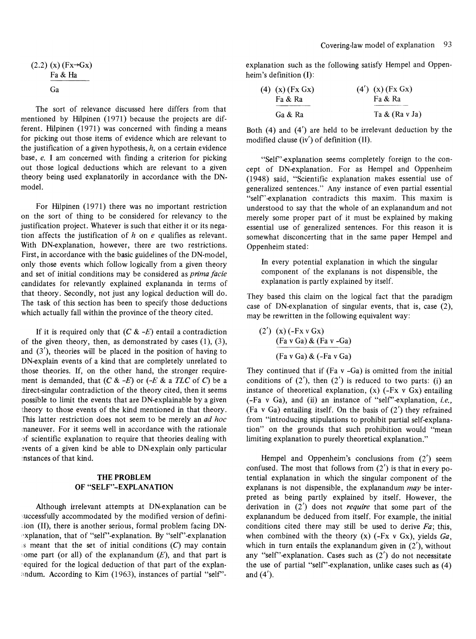$$
(2.2) (x) (Fx \rightarrow Gx)
$$
  

$$
\frac{Fa & Ha}{Ga}
$$

The sort of relevance discussed here differs from that mentioned by Hilpinen (1971) because the projects are different. Hilpinen (1971) was concerned with finding a means for picking out those items of evidence which are relevant to the justification of a given hypothesis,  $h$ , on a certain evidence base, *e.* I am concerned with finding a criterion for picking out those logical deductions which are relevant to a given theory being used explanatorily in accordance with the ONmodel.

For Hilpinen (1971) there was no important restriction on the sort of thing to be considered for relevancy to the justification project. Whatever is such that either it or its negation affects the justification of *h* on *e* qualifies as relevant. With ON-explanation, however, there are two restrictions. First, in accordance with the basic guidelines of the DN-model, only those events which follow logically from a given theory and set of initial conditions may be considered as *prima facie*  candidates for relevantly explained explananda in terms of that theory. Secondly, not just any logical deduction will do. The task of this section has been to specify those deductions which actually fall within the province of the theory cited.

If it is required only that  $(C \& -E)$  entail a contradiction of the given theory, then, as demonstrated by cases  $(1)$ ,  $(3)$ , and  $(3')$ , theories will be placed in the position of having to ON-explain events of a kind that are completely unrelated to those theories. If, on the other hand, the stronger requirement is demanded, that  $(C & E)$  or  $(-E & a \text{ } TLC \text{ of } C)$  be a direct-singular contradiction of the theory cited, then it seems possible to limit the events that are ON-explainable by a given theory to those events of the kind mentioned in that theory. [his latter restriction does not seem to be merely an *ad hoc*  maneuver. For it seems well in accordance with the rationale ·)f scientific explanation to require that theories dealing with events of a given kind be able to DN-explain only particular instances of that kind.

# THE PROBLEM **OF "SELF"-EXPLANATION**

Although irrelevant attempts at ON-explanation can be uccessfully accommodated by the modified version of defini ion (II), there is another serious, formal problem facing DNexplanation, that of "self"-explanation. By "self"-explanation  $\overline{s}$  meant that the set of initial conditions  $(C)$  may contain some part (or all) of the explanandum  $(E)$ , and that part is . equired for the logical deduction of that part of the explan andum. According to Kim (1963), instances of partial "self"- explanation such as the following satisfy Hempel and Oppen· heim's definition (I):

| (4) $(x)$ (Fx Gx) | (4') (x) (Fx Gx)  |
|-------------------|-------------------|
| Fa & Ra           | Fa & Ra           |
| Ga & Ra           | Ta $\&$ (Ra v Ja) |

Both (4) and (4') are held to be irrelevant deduction by the modified clause (iv') of definition (II).

"Self" explanation seems completely foreign to the concept of ON-explanation. For as Hempel and Oppenheim (1948) said, "Scientific explanation makes essential use of generalized sentences." Any instance of even partial essential "self"-explanation contradicts this maxim. This maxim is understood to say that the whole of an explanandum and not merely some proper part of it must be explained by making essential use of generalized sentences. For this reason it is somewhat disconcerting that in the same paper Hempel and Oppenheim stated:

**In** every potential explanation in which the singular component of the explanans is not dispensible, the explanation is partly explained by itself.

They based this claim on the logical fact that the paradigm case of ON-explanation of singular events, that is, case (2), may be rewritten in the following equivalent way:

$$
(2') (x) (-Fx \vee Gx)
$$
  
\n
$$
(Fa \vee Ga) \& (Fa \vee -Ga)
$$
  
\n
$$
(Fa \vee Ga) \& (-Fa \vee Ga)
$$

They continued that if  $(Fa v - Ga)$  is omitted from the initial conditions of  $(2')$ , then  $(2')$  is reduced to two parts: (i) an instance of theoretical explanation,  $(x)$  (-Fx v Gx) entailing (-Fa v Ga), and (ii) an instance of "self'-explanation, *i.e.,*  (Fa v Ga) entailing itself. On the basis of  $(2')$  they refrained from "introducing stipulations to prohibit partial self-explanation" on the grounds that such prohibition would "mean limiting explanation to purely theoretical explanation."

Hempel and Oppenheim's conclusions from (2') seem confused. The most that follows from  $(2')$  is that in every potential explanation in which the singular component of the explanans is not dispensible, the explanandum *may* be interpreted as being partly explained by itself. However, the derivation in (2') does not *require* that some part of the explanandum be deduced from itself. For example, the initial conditions cited there may still be used to derive *Fa;* this, when combined with the theory (x) (-Fx v Gx), yields *Ga,*  which in turn entails the explanandum given in  $(2')$ , without any "self"-explanation. Cases such as  $(2')$  do not necessitate the use of partial "self' -explanation, unlike cases such as (4) and  $(4')$ .